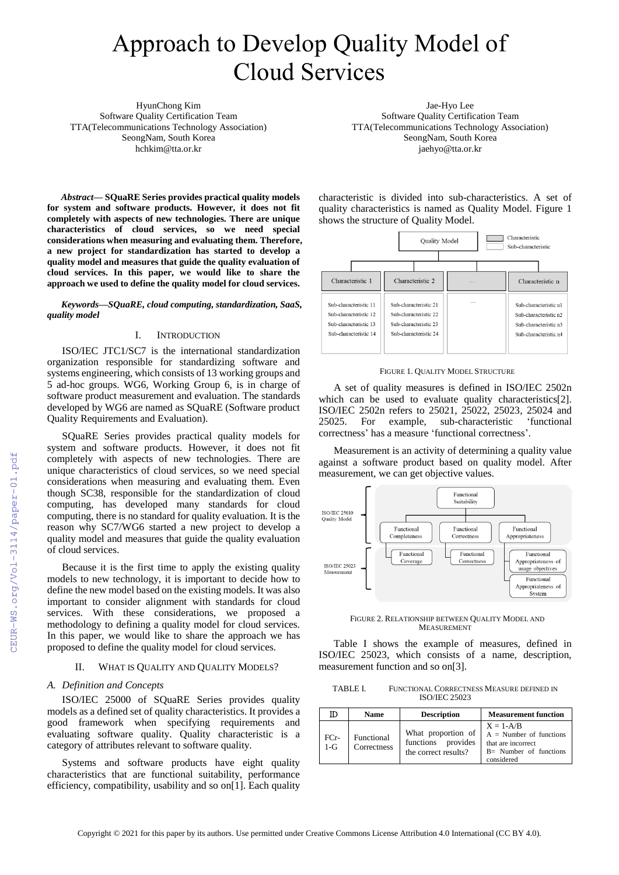# Approach to Develop Quality Model of Cloud Services

HyunChong Kim Software Quality Certification Team TTA(Telecommunications Technology Association) SeongNam, South Korea hchkim@tta.or.kr

*Abstract***— SQuaRE Series provides practical quality models for system and software products. However, it does not fit completely with aspects of new technologies. There are unique characteristics of cloud services, so we need special considerations when measuring and evaluating them. Therefore, a new project for standardization has started to develop a quality model and measures that guide the quality evaluation of cloud services. In this paper, we would like to share the approach we used to define the quality model for cloud services.**

*Keywords—SQuaRE, cloud computing, standardization, SaaS, quality model* 

## I. INTRODUCTION

ISO/IEC JTC1/SC7 is the international standardization organization responsible for standardizing software and systems engineering, which consists of 13 working groups and 5 ad-hoc groups. WG6, Working Group 6, is in charge of software product measurement and evaluation. The standards developed by WG6 are named as SQuaRE (Software product Quality Requirements and Evaluation).

SQuaRE Series provides practical quality models for system and software products. However, it does not fit completely with aspects of new technologies. There are unique characteristics of cloud services, so we need special considerations when measuring and evaluating them. Even though SC38, responsible for the standardization of cloud computing, has developed many standards for cloud computing, there is no standard for quality evaluation. It is the reason why SC7/WG6 started a new project to develop a quality model and measures that guide the quality evaluation of cloud services.

Because it is the first time to apply the existing quality models to new technology, it is important to decide how to define the new model based on the existing models. It was also important to consider alignment with standards for cloud services. With these considerations, we proposed a methodology to defining a quality model for cloud services. In this paper, we would like to share the approach we has proposed to define the quality model for cloud services.

### II. WHAT IS QUALITY AND QUALITY MODELS?

#### *A. Definition and Concepts*

ISO/IEC 25000 of SQuaRE Series provides quality models as a defined set of quality characteristics. It provides a good framework when specifying requirements and evaluating software quality. Quality characteristic is a category of attributes relevant to software quality.

Systems and software products have eight quality characteristics that are functional suitability, performance efficiency, compatibility, usability and so on[1]. Each quality

Jae-Hyo Lee Software Quality Certification Team TTA(Telecommunications Technology Association) SeongNam, South Korea jaehyo@tta.or.kr

characteristic is divided into sub-characteristics. A set of quality characteristics is named as Quality Model. Figure 1 shows the structure of Quality Model.



#### FIGURE 1. QUALITY MODEL STRUCTURE

A set of quality measures is defined in ISO/IEC 2502n which can be used to evaluate quality characteristics<sup>[2]</sup>. ISO/IEC 2502n refers to 25021, 25022, 25023, 25024 and 25025. For example, sub-characteristic 'functional correctness' has a measure 'functional correctness'.

Measurement is an activity of determining a quality value against a software product based on quality model. After measurement, we can get objective values.



FIGURE 2. RELATIONSHIP BETWEEN QUALITY MODEL AND MEASUREMENT

Table Ⅰ shows the example of measures, defined in ISO/IEC 25023, which consists of a name, description, measurement function and so on[3].

TABLE I. FUNCTIONAL CORRECTNESS MEASURE DEFINED IN ISO/IEC 25023

|               | <b>Name</b>                      | <b>Description</b>                                               | <b>Measurement function</b>                                                                                |  |
|---------------|----------------------------------|------------------------------------------------------------------|------------------------------------------------------------------------------------------------------------|--|
| FCr-<br>$1-G$ | <b>Functional</b><br>Correctness | What proportion of<br>functions provides<br>the correct results? | $X = 1 - A/B$<br>$A =$ Number of functions<br>that are incorrect<br>$B=$ Number of functions<br>considered |  |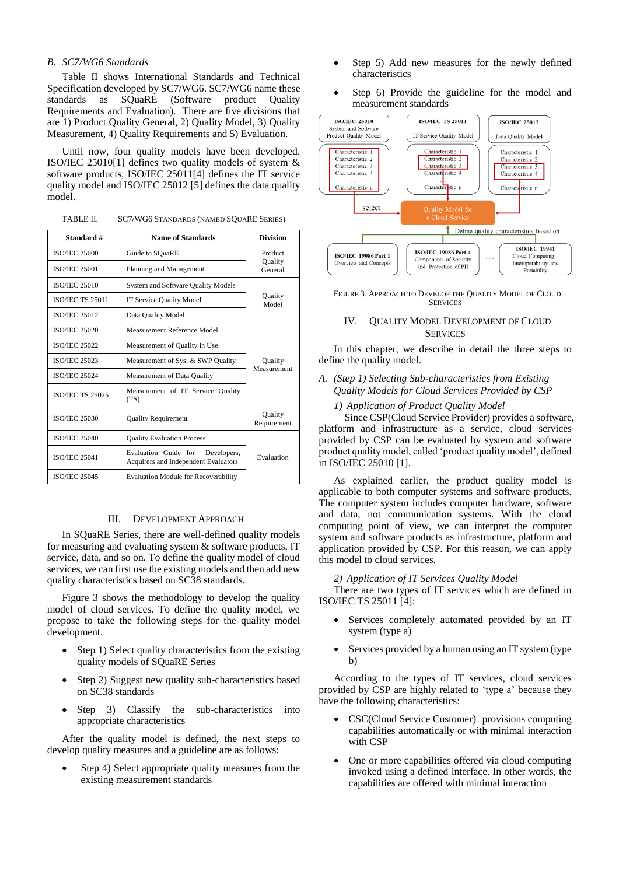# *B. SC7/WG6 Standards*

Table Ⅱ shows International Standards and Technical Specification developed by SC7/WG6. SC7/WG6 name these standards as SQuaRE (Software product Quality Requirements and Evaluation). There are five divisions that are 1) Product Quality General, 2) Quality Model, 3) Quality Measurement, 4) Quality Requirements and 5) Evaluation.

Until now, four quality models have been developed. ISO/IEC 25010[1] defines two quality models of system & software products, ISO/IEC 25011[4] defines the IT service quality model and ISO/IEC 25012 [5] defines the data quality model.

| TABLE II. | SC7/WG6 STANDARDS (NAMED SQUARE SERIES) |
|-----------|-----------------------------------------|
|-----------|-----------------------------------------|

| Standard #              | <b>Name of Standards</b>                                                    |             |
|-------------------------|-----------------------------------------------------------------------------|-------------|
| <b>ISO/IEC 25000</b>    | Guide to SQuaRE                                                             |             |
| <b>ISO/JEC 25001</b>    | Planning and Management                                                     |             |
| <b>ISO/JEC 25010</b>    | System and Software Quality Models                                          |             |
| <b>ISO/IEC TS 25011</b> | <b>IT Service Quality Model</b>                                             |             |
| <b>ISO/IEC 25012</b>    | Data Quality Model                                                          |             |
| <b>ISO/JEC 25020</b>    | Measurement Reference Model                                                 |             |
| <b>ISO/IEC 25022</b>    | Measurement of Quality in Use                                               |             |
| <b>ISO/JEC 25023</b>    | Measurement of Sys. & SWP Quality                                           |             |
| <b>ISO/IEC 25024</b>    | Measurement of Data Quality                                                 | Measurement |
| <b>ISO/JEC TS 25025</b> | Measurement of IT Service Quality<br>(TS)                                   |             |
| <b>ISO/IEC 25030</b>    | <b>Quality Requirement</b>                                                  |             |
| <b>ISO/JEC 25040</b>    | <b>Quality Evaluation Process</b>                                           |             |
| <b>ISO/IEC 25041</b>    | Evaluation Guide for<br>Developers,<br>Acquirers and Independent Evaluators |             |
| <b>ISO/IEC 25045</b>    | <b>Evaluation Module for Recoverability</b>                                 |             |

## III. DEVELOPMENT APPROACH

In SQuaRE Series, there are well-defined quality models for measuring and evaluating system & software products, IT service, data, and so on. To define the quality model of cloud services, we can first use the existing models and then add new quality characteristics based on SC38 standards.

Figure 3 shows the methodology to develop the quality model of cloud services. To define the quality model, we propose to take the following steps for the quality model development.

- Step 1) Select quality characteristics from the existing quality models of SQuaRE Series
- Step 2) Suggest new quality sub-characteristics based on SC38 standards
- Step 3) Classify the sub-characteristics into appropriate characteristics

After the quality model is defined, the next steps to develop quality measures and a guideline are as follows:

Step 4) Select appropriate quality measures from the existing measurement standards

- Step 5) Add new measures for the newly defined characteristics
- Step 6) Provide the guideline for the model and measurement standards



FIGURE 3. APPROACH TO DEVELOP THE QUALITY MODEL OF CLOUD **SERVICES** 

# IV. QUALITY MODEL DEVELOPMENT OF CLOUD **SERVICES**

In this chapter, we describe in detail the three steps to define the quality model.

# *A. (Step 1) Selecting Sub-characteristics from Existing Quality Models for Cloud Services Provided by CSP*

## *1) Application of Product Quality Model*

Since CSP(Cloud Service Provider) provides a software, platform and infrastructure as a service, cloud services provided by CSP can be evaluated by system and software product quality model, called 'product quality model', defined in ISO/IEC 25010 [1].

As explained earlier, the product quality model is applicable to both computer systems and software products. The computer system includes computer hardware, software and data, not communication systems. With the cloud computing point of view, we can interpret the computer system and software products as infrastructure, platform and application provided by CSP. For this reason, we can apply this model to cloud services.

## *2) Application of IT Services Quality Model*

There are two types of IT services which are defined in ISO/IEC TS 25011 [4]:

- Services completely automated provided by an IT system (type a)
- Services provided by a human using an IT system (type) b)

According to the types of IT services, cloud services provided by CSP are highly related to 'type a' because they have the following characteristics:

- CSC(Cloud Service Customer) provisions computing capabilities automatically or with minimal interaction with CSP
- One or more capabilities offered via cloud computing invoked using a defined interface. In other words, the capabilities are offered with minimal interaction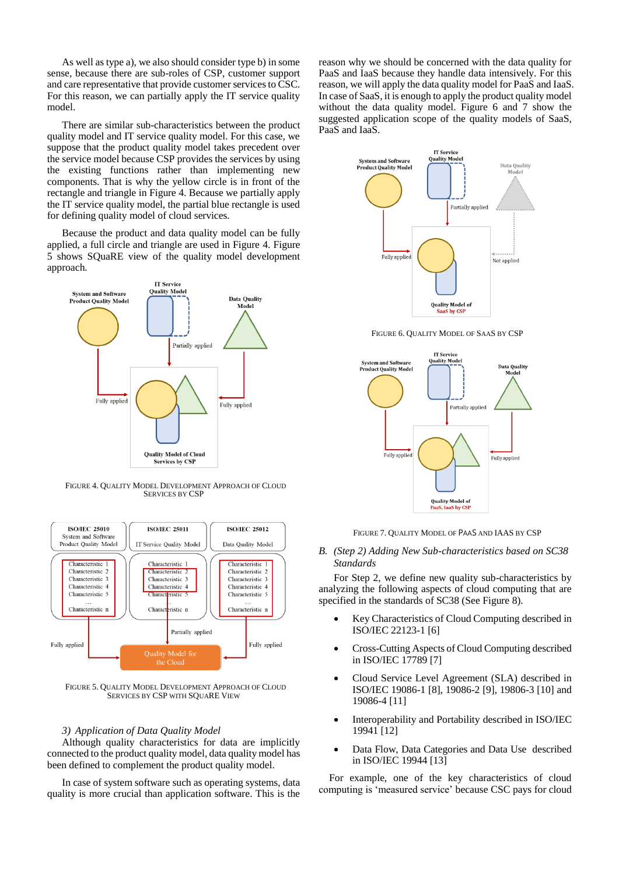As well as type a), we also should consider type b) in some sense, because there are sub-roles of CSP, customer support and care representative that provide customer services to CSC. For this reason, we can partially apply the IT service quality model.

There are similar sub-characteristics between the product quality model and IT service quality model. For this case, we suppose that the product quality model takes precedent over the service model because CSP provides the services by using the existing functions rather than implementing new components. That is why the yellow circle is in front of the rectangle and triangle in Figure 4. Because we partially apply the IT service quality model, the partial blue rectangle is used for defining quality model of cloud services.

Because the product and data quality model can be fully applied, a full circle and triangle are used in Figure 4. Figure 5 shows SQuaRE view of the quality model development approach.



FIGURE 4. QUALITY MODEL DEVELOPMENT APPROACH OF CLOUD SERVICES BY CSP



FIGURE 5. QUALITY MODEL DEVELOPMENT APPROACH OF CLOUD SERVICES BY CSP WITH SQUARE VIEW

## *3) Application of Data Quality Model*

Although quality characteristics for data are implicitly connected to the product quality model, data quality model has been defined to complement the product quality model.

In case of system software such as operating systems, data quality is more crucial than application software. This is the

reason why we should be concerned with the data quality for PaaS and IaaS because they handle data intensively. For this reason, we will apply the data quality model for PaaS and IaaS. In case of SaaS, it is enough to apply the product quality model without the data quality model. Figure 6 and 7 show the suggested application scope of the quality models of SaaS, PaaS and IaaS.



FIGURE 6. QUALITY MODEL OF SAAS BY CSP



FIGURE 7. QUALITY MODEL OF PAAS AND IAAS BY CSP

*B. (Step 2) Adding New Sub-characteristics based on SC38 Standards*

For Step 2, we define new quality sub-characteristics by analyzing the following aspects of cloud computing that are specified in the standards of SC38 (See Figure 8).

- Key Characteristics of Cloud Computing described in ISO/IEC 22123-1 [6]
- Cross-Cutting Aspects of Cloud Computing described in ISO/IEC 17789 [7]
- Cloud Service Level Agreement (SLA) described in ISO/IEC 19086-1 [8], 19086-2 [9], 19806-3 [10] and 19086-4 [11]
- Interoperability and Portability described in ISO/IEC 19941 [12]
- Data Flow, Data Categories and Data Use described in ISO/IEC 19944 [13]

For example, one of the key characteristics of cloud computing is 'measured service' because CSC pays for cloud